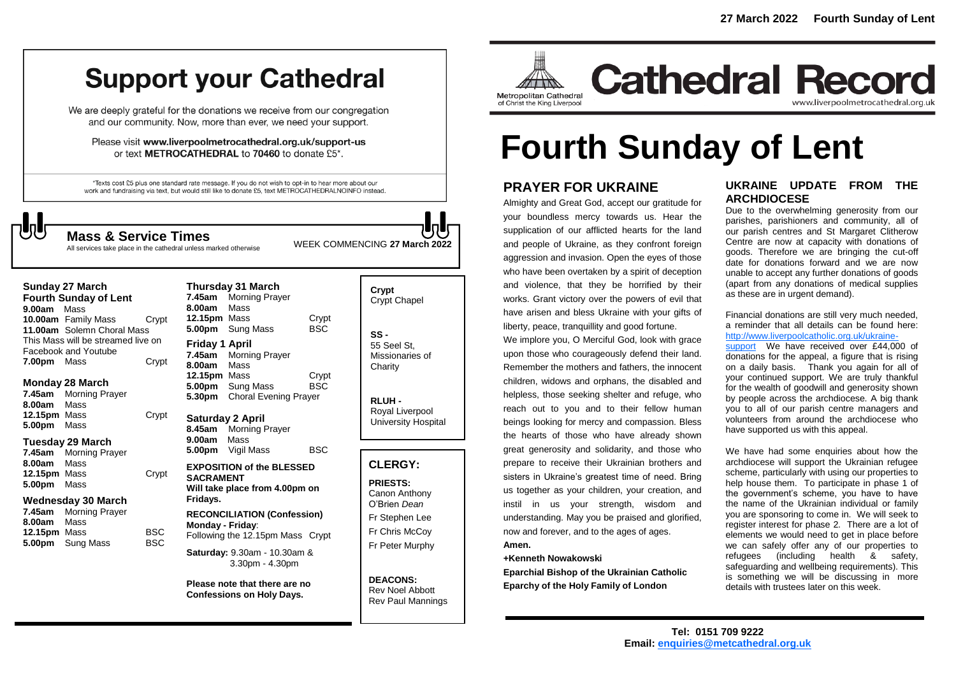## **Support your Cathedral**

We are deeply grateful for the donations we receive from our congregation and our community. Now, more than ever, we need your support.

Please visit www.liverpoolmetrocathedral.org.uk/support-us or text METROCATHEDRAL to 70460 to donate £5\*.

\*Texts cost £5 plus one standard rate message. If you do not wish to opt-in to hear more about our work and fundraising via text, but would still like to donate £5, text METROCATHEDRALNOINFO instead.

WEEK COMMENCING **<sup>27</sup> March <sup>2022</sup> Mass & Service Times** All services take place in the cathedral unless marked otherwise

#### **Sunday 27 March**

**Fourth Sunday of Lent 9.00am** Mass **10.00am** Family Mass Crypt **11.00am** Solemn Choral Mass This Mass will be streamed live on Facebook and Youtube **7.00pm** Mass Crypt

## **Monday 28 March**

**7.45am** Morning Prayer **8.00am** Mass **12.15pm** Mass Crypt **5.00pm** Mass

## **Tuesday 29 March**

**7.45am** Morning Prayer **8.00am** Mass **12.15pm** Mass Crypt **5.00pm** Mass

## **Wednesday 30 March**

| <b>Morning Prayer</b>   |            |
|-------------------------|------------|
| Mass                    |            |
| <b>12.15pm</b> Mass     | <b>BSC</b> |
| <b>5.00pm</b> Sung Mass | <b>BSC</b> |
|                         |            |

## **Thursday 31 March 7.45am** Morning Prayer **8.00am** Mass **12.15pm** Mass Crypt<br>5.00pm Sung Mass BSC **5.00pm** Sung Mass **Friday 1 April 7.45am** Morning Prayer **8.00am** Mass **12.15pm** Mass Crypt **5.00pm** Sung Mass BSC **5.30pm** Choral Evening Prayer **Saturday 2 April**

**8.45am** Morning Prayer **9.00am** Mass **5.00pm** Vigil Mass BSC

**EXPOSITION of the BLESSED SACRAMENT Will take place from 4.00pm on Fridays.**

**RECONCILIATION (Confession) Monday - Friday**: Following the 12.15pm Mass Crypt

**Saturday:** 9.30am - 10.30am & 3.30pm - 4.30pm

**Please note that there are no Confessions on Holy Days.**

| Crypt<br><b>Crypt Chapel</b>                      |
|---------------------------------------------------|
| SS -<br>55 Seel St.<br>Missionaries of<br>Charity |

**RLUH -** Royal Liverpool University Hospital

## **CLERGY:**

**PRIESTS:** Canon Anthony O'Brien *Dean* Fr Stephen Lee Fr Chris McCoy Fr Peter Murphy

**DEACONS:** Rev Noel Abbott Rev Paul Mannings



**Cathedral Record** www.liverpoolmetrocathedral.org.uk

# **Fourth Sunday of Lent**

## **PRAYER FOR UKRAINE**

Almighty and Great God, accept our gratitude for your boundless mercy towards us. Hear the supplication of our afflicted hearts for the land and people of Ukraine, as they confront foreign aggression and invasion. Open the eyes of those who have been overtaken by a spirit of deception and violence, that they be horrified by their works. Grant victory over the powers of evil that have arisen and bless Ukraine with your gifts of liberty, peace, tranquillity and good fortune.

We implore you, O Merciful God, look with grace upon those who courageously defend their land. Remember the mothers and fathers, the innocent children, widows and orphans, the disabled and helpless, those seeking shelter and refuge, who reach out to you and to their fellow human beings looking for mercy and compassion. Bless the hearts of those who have already shown great generosity and solidarity, and those who prepare to receive their Ukrainian brothers and sisters in Ukraine's greatest time of need. Bring us together as your children, your creation, and instil in us your strength, wisdom and understanding. May you be praised and glorified, now and forever, and to the ages of ages. **Amen.**

## **+Kenneth Nowakowski**

**Eparchial Bishop of the Ukrainian Catholic Eparchy of the Holy Family of London**

## **UKRAINE UPDATE FROM THE ARCHDIOCESE**

Due to the overwhelming generosity from our parishes, parishioners and community, all of our parish centres and St Margaret Clitherow Centre are now at capacity with donations of goods. Therefore we are bringing the cut-off date for donations forward and we are now unable to accept any further donations of goods (apart from any donations of medical supplies as these are in urgent demand).

#### Financial donations are still very much needed, a reminder that all details can be found here: [http://www.liverpoolcatholic.org.uk/ukraine-](http://www.liverpoolcatholic.org.uk/ukraine-support)

[support](http://www.liverpoolcatholic.org.uk/ukraine-support) We have received over £44,000 of donations for the appeal, a figure that is rising on a daily basis. Thank you again for all of your continued support. We are truly thankful for the wealth of goodwill and generosity shown by people across the archdiocese. A big thank you to all of our parish centre managers and volunteers from around the archdiocese who have supported us with this appeal.

We have had some enquiries about how the archdiocese will support the Ukrainian refugee scheme, particularly with using our properties to help house them. To participate in phase 1 of the government's scheme, you have to have the name of the Ukrainian individual or family you are sponsoring to come in. We will seek to register interest for phase 2. There are a lot of elements we would need to get in place before we can safely offer any of our properties to refugees (including health & safety, safeguarding and wellbeing requirements). This is something we will be discussing in more details with trustees later on this week.